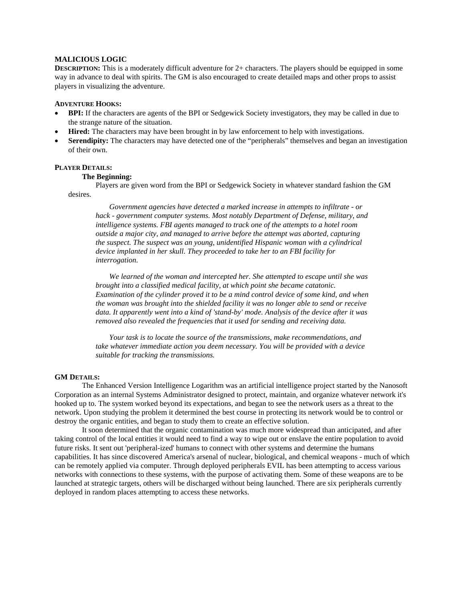# **MALICIOUS LOGIC**

**DESCRIPTION:** This is a moderately difficult adventure for 2+ characters. The players should be equipped in some way in advance to deal with spirits. The GM is also encouraged to create detailed maps and other props to assist players in visualizing the adventure.

## **ADVENTURE HOOKS:**

- **BPI:** If the characters are agents of the BPI or Sedgewick Society investigators, they may be called in due to the strange nature of the situation.
- **Hired:** The characters may have been brought in by law enforcement to help with investigations.
- Serendipity: The characters may have detected one of the "peripherals" themselves and began an investigation of their own.

# **PLAYER DETAILS:**

## **The Beginning:**

Players are given word from the BPI or Sedgewick Society in whatever standard fashion the GM desires.

*Government agencies have detected a marked increase in attempts to infiltrate - or hack - government computer systems. Most notably Department of Defense, military, and intelligence systems. FBI agents managed to track one of the attempts to a hotel room outside a major city, and managed to arrive before the attempt was aborted, capturing the suspect. The suspect was an young, unidentified Hispanic woman with a cylindrical device implanted in her skull. They proceeded to take her to an FBI facility for interrogation.* 

*We learned of the woman and intercepted her. She attempted to escape until she was brought into a classified medical facility, at which point she became catatonic. Examination of the cylinder proved it to be a mind control device of some kind, and when the woman was brought into the shielded facility it was no longer able to send or receive data. It apparently went into a kind of 'stand-by' mode. Analysis of the device after it was removed also revealed the frequencies that it used for sending and receiving data.* 

*Your task is to locate the source of the transmissions, make recommendations, and take whatever immediate action you deem necessary. You will be provided with a device suitable for tracking the transmissions.* 

# **GM DETAILS:**

 The Enhanced Version Intelligence Logarithm was an artificial intelligence project started by the Nanosoft Corporation as an internal Systems Administrator designed to protect, maintain, and organize whatever network it's hooked up to. The system worked beyond its expectations, and began to see the network users as a threat to the network. Upon studying the problem it determined the best course in protecting its network would be to control or destroy the organic entities, and began to study them to create an effective solution.

It soon determined that the organic contamination was much more widespread than anticipated, and after taking control of the local entities it would need to find a way to wipe out or enslave the entire population to avoid future risks. It sent out 'peripheral-ized' humans to connect with other systems and determine the humans capabilities. It has since discovered America's arsenal of nuclear, biological, and chemical weapons - much of which can be remotely applied via computer. Through deployed peripherals EVIL has been attempting to access various networks with connections to these systems, with the purpose of activating them. Some of these weapons are to be launched at strategic targets, others will be discharged without being launched. There are six peripherals currently deployed in random places attempting to access these networks.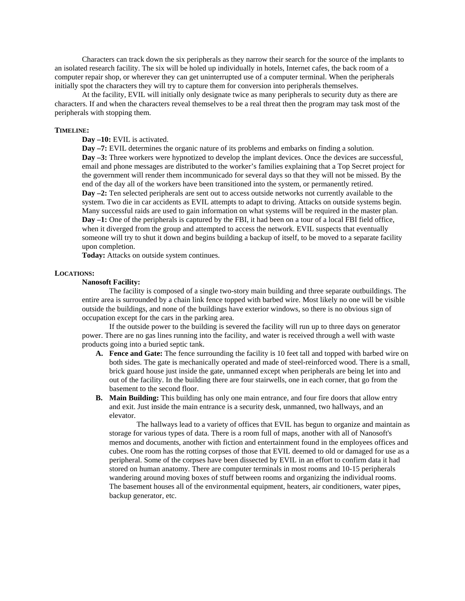Characters can track down the six peripherals as they narrow their search for the source of the implants to an isolated research facility. The six will be holed up individually in hotels, Internet cafes, the back room of a computer repair shop, or wherever they can get uninterrupted use of a computer terminal. When the peripherals initially spot the characters they will try to capture them for conversion into peripherals themselves.

At the facility, EVIL will initially only designate twice as many peripherals to security duty as there are characters. If and when the characters reveal themselves to be a real threat then the program may task most of the peripherals with stopping them.

#### **TIMELINE:**

**Day –10:** EVIL is activated.

**Day –7:** EVIL determines the organic nature of its problems and embarks on finding a solution. **Day -3:** Three workers were hypnotized to develop the implant devices. Once the devices are successful, email and phone messages are distributed to the worker's families explaining that a Top Secret project for the government will render them incommunicado for several days so that they will not be missed. By the end of the day all of the workers have been transitioned into the system, or permanently retired. **Day –2:** Ten selected peripherals are sent out to access outside networks not currently available to the system. Two die in car accidents as EVIL attempts to adapt to driving. Attacks on outside systems begin. Many successful raids are used to gain information on what systems will be required in the master plan. **Day –1:** One of the peripherals is captured by the FBI, it had been on a tour of a local FBI field office, when it diverged from the group and attempted to access the network. EVIL suspects that eventually someone will try to shut it down and begins building a backup of itself, to be moved to a separate facility upon completion.

**Today:** Attacks on outside system continues.

#### **LOCATIONS:**

## **Nanosoft Facility:**

 The facility is composed of a single two-story main building and three separate outbuildings. The entire area is surrounded by a chain link fence topped with barbed wire. Most likely no one will be visible outside the buildings, and none of the buildings have exterior windows, so there is no obvious sign of occupation except for the cars in the parking area.

If the outside power to the building is severed the facility will run up to three days on generator power. There are no gas lines running into the facility, and water is received through a well with waste products going into a buried septic tank.

- **A. Fence and Gate:** The fence surrounding the facility is 10 feet tall and topped with barbed wire on both sides. The gate is mechanically operated and made of steel-reinforced wood. There is a small, brick guard house just inside the gate, unmanned except when peripherals are being let into and out of the facility. In the building there are four stairwells, one in each corner, that go from the basement to the second floor.
- **B. Main Building:** This building has only one main entrance, and four fire doors that allow entry and exit. Just inside the main entrance is a security desk, unmanned, two hallways, and an elevator.

The hallways lead to a variety of offices that EVIL has begun to organize and maintain as storage for various types of data. There is a room full of maps, another with all of Nanosoft's memos and documents, another with fiction and entertainment found in the employees offices and cubes. One room has the rotting corpses of those that EVIL deemed to old or damaged for use as a peripheral. Some of the corpses have been dissected by EVIL in an effort to confirm data it had stored on human anatomy. There are computer terminals in most rooms and 10-15 peripherals wandering around moving boxes of stuff between rooms and organizing the individual rooms. The basement houses all of the environmental equipment, heaters, air conditioners, water pipes, backup generator, etc.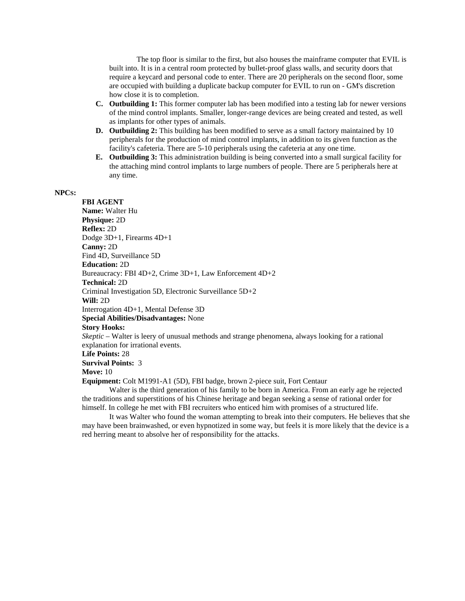The top floor is similar to the first, but also houses the mainframe computer that EVIL is built into. It is in a central room protected by bullet-proof glass walls, and security doors that require a keycard and personal code to enter. There are 20 peripherals on the second floor, some are occupied with building a duplicate backup computer for EVIL to run on - GM's discretion how close it is to completion.

- **C. Outbuilding 1:** This former computer lab has been modified into a testing lab for newer versions of the mind control implants. Smaller, longer-range devices are being created and tested, as well as implants for other types of animals.
- **D. Outbuilding 2:** This building has been modified to serve as a small factory maintained by 10 peripherals for the production of mind control implants, in addition to its given function as the facility's cafeteria. There are 5-10 peripherals using the cafeteria at any one time.
- **E. Outbuilding 3:** This administration building is being converted into a small surgical facility for the attaching mind control implants to large numbers of people. There are 5 peripherals here at any time.

# **NPCS:**

**FBI AGENT Name:** Walter Hu **Physique:** 2D **Reflex:** 2D Dodge 3D+1, Firearms 4D+1 **Canny:** 2D Find 4D, Surveillance 5D **Education:** 2D Bureaucracy: FBI 4D+2, Crime 3D+1, Law Enforcement 4D+2 **Technical:** 2D Criminal Investigation 5D, Electronic Surveillance 5D+2 **Will:** 2D Interrogation 4D+1, Mental Defense 3D **Special Abilities/Disadvantages:** None **Story Hooks:** *Skeptic* – Walter is leery of unusual methods and strange phenomena, always looking for a rational explanation for irrational events. **Life Points:** 28 **Survival Points:** 3

## **Move:** 10

**Equipment:** Colt M1991-A1 (5D), FBI badge, brown 2-piece suit, Fort Centaur

Walter is the third generation of his family to be born in America. From an early age he rejected the traditions and superstitions of his Chinese heritage and began seeking a sense of rational order for himself. In college he met with FBI recruiters who enticed him with promises of a structured life.

It was Walter who found the woman attempting to break into their computers. He believes that she may have been brainwashed, or even hypnotized in some way, but feels it is more likely that the device is a red herring meant to absolve her of responsibility for the attacks.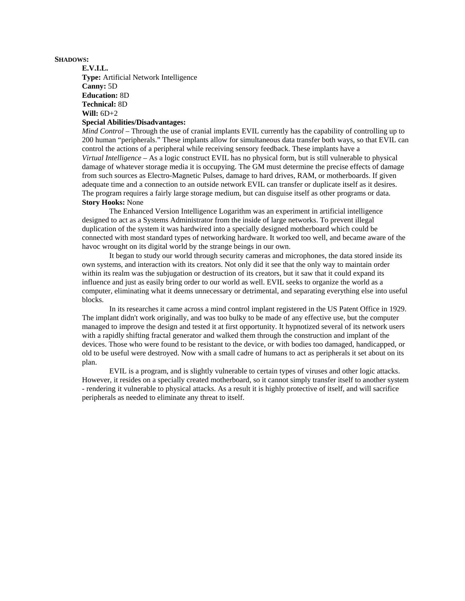## **SHADOWS:**

**E.V.I.L. Type:** Artificial Network Intelligence **Canny:** 5D **Education:** 8D **Technical:** 8D **Will:** 6D+2 **Special Abilities/Disadvantages:**

*Mind Control* – Through the use of cranial implants EVIL currently has the capability of controlling up to 200 human "peripherals." These implants allow for simultaneous data transfer both ways, so that EVIL can control the actions of a peripheral while receiving sensory feedback. These implants have a *Virtual Intelligence* – As a logic construct EVIL has no physical form, but is still vulnerable to physical damage of whatever storage media it is occupying. The GM must determine the precise effects of damage from such sources as Electro-Magnetic Pulses, damage to hard drives, RAM, or motherboards. If given adequate time and a connection to an outside network EVIL can transfer or duplicate itself as it desires. The program requires a fairly large storage medium, but can disguise itself as other programs or data. **Story Hooks:** None

 The Enhanced Version Intelligence Logarithm was an experiment in artificial intelligence designed to act as a Systems Administrator from the inside of large networks. To prevent illegal duplication of the system it was hardwired into a specially designed motherboard which could be connected with most standard types of networking hardware. It worked too well, and became aware of the havoc wrought on its digital world by the strange beings in our own.

It began to study our world through security cameras and microphones, the data stored inside its own systems, and interaction with its creators. Not only did it see that the only way to maintain order within its realm was the subjugation or destruction of its creators, but it saw that it could expand its influence and just as easily bring order to our world as well. EVIL seeks to organize the world as a computer, eliminating what it deems unnecessary or detrimental, and separating everything else into useful blocks.

In its researches it came across a mind control implant registered in the US Patent Office in 1929. The implant didn't work originally, and was too bulky to be made of any effective use, but the computer managed to improve the design and tested it at first opportunity. It hypnotized several of its network users with a rapidly shifting fractal generator and walked them through the construction and implant of the devices. Those who were found to be resistant to the device, or with bodies too damaged, handicapped, or old to be useful were destroyed. Now with a small cadre of humans to act as peripherals it set about on its plan.

 EVIL is a program, and is slightly vulnerable to certain types of viruses and other logic attacks. However, it resides on a specially created motherboard, so it cannot simply transfer itself to another system - rendering it vulnerable to physical attacks. As a result it is highly protective of itself, and will sacrifice peripherals as needed to eliminate any threat to itself.